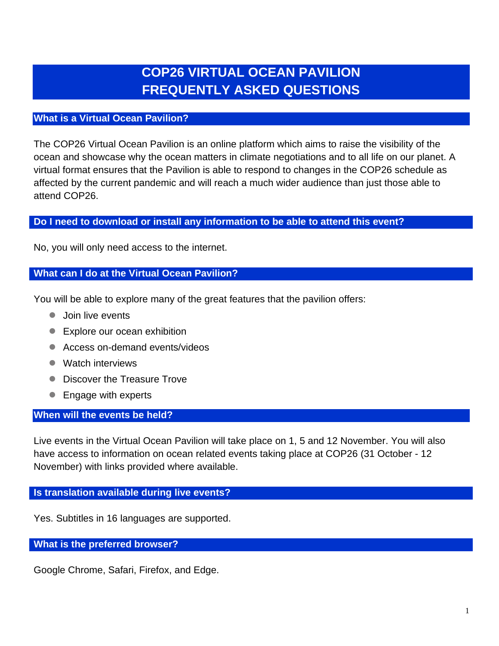# **COP26 VIRTUAL OCEAN PAVILION FREQUENTLY ASKED QUESTIONS**

# **What is a Virtual Ocean Pavilion?**

The COP26 Virtual Ocean Pavilion is an online platform which aims to raise the visibility of the ocean and showcase why the ocean matters in climate negotiations and to all life on our planet. A virtual format ensures that the Pavilion is able to respond to changes in the COP26 schedule as affected by the current pandemic and will reach a much wider audience than just those able to attend COP26.

# **Do I need to download or install any information to be able to attend this event?**

No, you will only need access to the internet.

## **What can I do at the Virtual Ocean Pavilion?**

You will be able to explore many of the great features that the pavilion offers:

- Join live events
- Explore our ocean exhibition
- Access on-demand events/videos
- Watch interviews
- Discover the Treasure Trove
- Engage with experts

## **When will the events be held?**

Live events in the Virtual Ocean Pavilion will take place on 1, 5 and 12 November. You will also have access to information on ocean related events taking place at COP26 (31 October - 12 November) with links provided where available.

## **Is translation available during live events?**

Yes. Subtitles in 16 languages are supported.

**What is the preferred browser?**

Google Chrome, Safari, Firefox, and Edge.